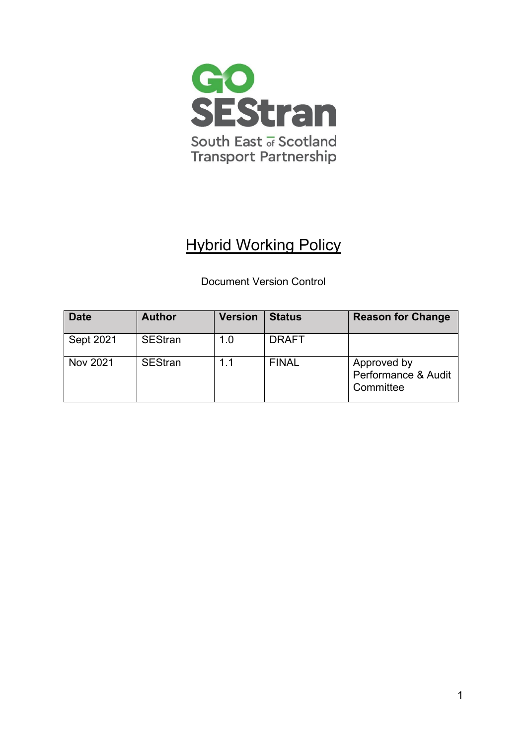

# Hybrid Working Policy

# Document Version Control

| <b>Date</b> | <b>Author</b>  | <b>Version</b> | <b>Status</b> | <b>Reason for Change</b>                        |
|-------------|----------------|----------------|---------------|-------------------------------------------------|
| Sept 2021   | <b>SEStran</b> | 1.0            | <b>DRAFT</b>  |                                                 |
| Nov 2021    | <b>SEStran</b> | 11             | <b>FINAL</b>  | Approved by<br>Performance & Audit<br>Committee |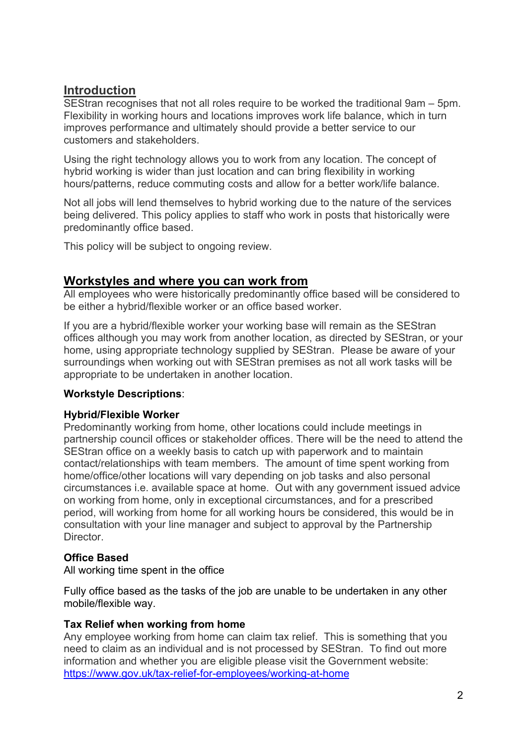# **Introduction**

SEStran recognises that not all roles require to be worked the traditional 9am – 5pm. Flexibility in working hours and locations improves work life balance, which in turn improves performance and ultimately should provide a better service to our customers and stakeholders.

Using the right technology allows you to work from any location. The concept of hybrid working is wider than just location and can bring flexibility in working hours/patterns, reduce commuting costs and allow for a better work/life balance.

Not all jobs will lend themselves to hybrid working due to the nature of the services being delivered. This policy applies to staff who work in posts that historically were predominantly office based.

This policy will be subject to ongoing review.

# **Workstyles and where you can work from**

All employees who were historically predominantly office based will be considered to be either a hybrid/flexible worker or an office based worker.

If you are a hybrid/flexible worker your working base will remain as the SEStran offices although you may work from another location, as directed by SEStran, or your home, using appropriate technology supplied by SEStran. Please be aware of your surroundings when working out with SEStran premises as not all work tasks will be appropriate to be undertaken in another location.

# **Workstyle Descriptions**:

### **Hybrid/Flexible Worker**

Predominantly working from home, other locations could include meetings in partnership council offices or stakeholder offices. There will be the need to attend the SEStran office on a weekly basis to catch up with paperwork and to maintain contact/relationships with team members. The amount of time spent working from home/office/other locations will vary depending on job tasks and also personal circumstances i.e. available space at home. Out with any government issued advice on working from home, only in exceptional circumstances, and for a prescribed period, will working from home for all working hours be considered, this would be in consultation with your line manager and subject to approval by the Partnership **Director** 

# **Office Based**

All working time spent in the office

Fully office based as the tasks of the job are unable to be undertaken in any other mobile/flexible way.

### **Tax Relief when working from home**

Any employee working from home can claim tax relief. This is something that you need to claim as an individual and is not processed by SEStran. To find out more information and whether you are eligible please visit the Government website: <https://www.gov.uk/tax-relief-for-employees/working-at-home>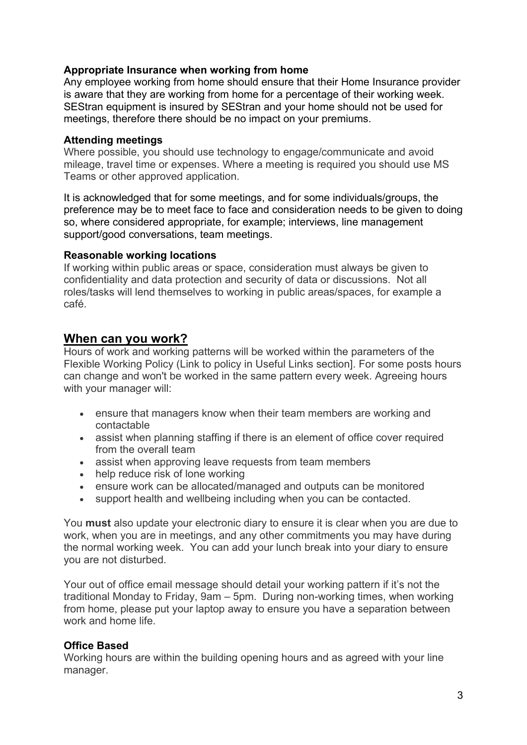### **Appropriate Insurance when working from home**

Any employee working from home should ensure that their Home Insurance provider is aware that they are working from home for a percentage of their working week. SEStran equipment is insured by SEStran and your home should not be used for meetings, therefore there should be no impact on your premiums.

#### **Attending meetings**

Where possible, you should use technology to engage/communicate and avoid mileage, travel time or expenses. Where a meeting is required you should use MS Teams or other approved application.

It is acknowledged that for some meetings, and for some individuals/groups, the preference may be to meet face to face and consideration needs to be given to doing so, where considered appropriate, for example; interviews, line management support/good conversations, team meetings.

#### **Reasonable working locations**

If working within public areas or space, consideration must always be given to confidentiality and data protection and security of data or discussions. Not all roles/tasks will lend themselves to working in public areas/spaces, for example a café.

### **When can you work?**

Hours of work and working patterns will be worked within the parameters of the Flexible Working Policy (Link to policy in Useful Links section]. For some posts hours can change and won't be worked in the same pattern every week. Agreeing hours with your manager will:

- ensure that managers know when their team members are working and contactable
- assist when planning staffing if there is an element of office cover required from the overall team
- assist when approving leave requests from team members
- help reduce risk of lone working
- ensure work can be allocated/managed and outputs can be monitored
- support health and wellbeing including when you can be contacted.

You **must** also update your electronic diary to ensure it is clear when you are due to work, when you are in meetings, and any other commitments you may have during the normal working week. You can add your lunch break into your diary to ensure you are not disturbed.

Your out of office email message should detail your working pattern if it's not the traditional Monday to Friday, 9am – 5pm. During non-working times, when working from home, please put your laptop away to ensure you have a separation between work and home life.

#### **Office Based**

Working hours are within the building opening hours and as agreed with your line manager.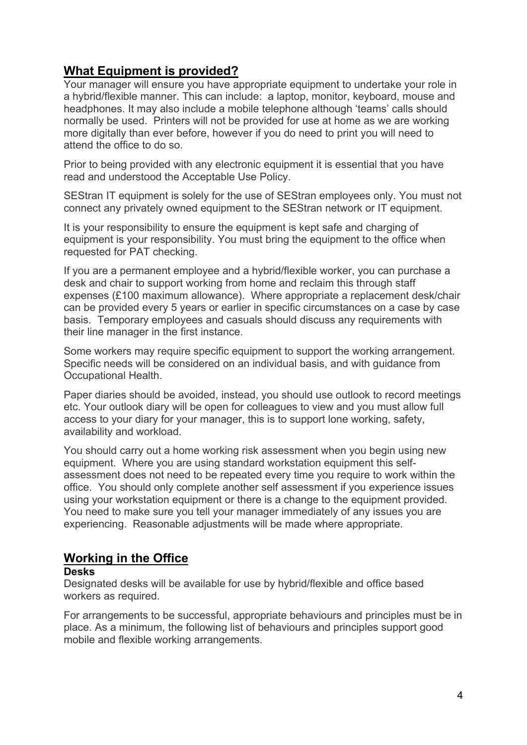# **What Equipment is provided?**

Your manager will ensure you have appropriate equipment to undertake your role in a hybrid/flexible manner. This can include: a laptop, monitor, keyboard, mouse and headphones. It may also include a mobile telephone although 'teams' calls should normally be used. Printers will not be provided for use at home as we are working more digitally than ever before, however if you do need to print you will need to attend the office to do so.

Prior to being provided with any electronic equipment it is essential that you have read and understood the Acceptable Use Policy.

SEStran IT equipment is solely for the use of SEStran employees only. You must not connect any privately owned equipment to the SEStran network or IT equipment.

It is your responsibility to ensure the equipment is kept safe and charging of equipment is your responsibility. You must bring the equipment to the office when requested for PAT checking.

If you are a permanent employee and a hybrid/flexible worker, you can purchase a desk and chair to support working from home and reclaim this through staff expenses (£100 maximum allowance). Where appropriate a replacement desk/chair can be provided every 5 years or earlier in specific circumstances on a case by case basis. Temporary employees and casuals should discuss any requirements with their line manager in the first instance.

Some workers may require specific equipment to support the working arrangement. Specific needs will be considered on an individual basis, and with guidance from Occupational Health.

Paper diaries should be avoided, instead, you should use outlook to record meetings etc. Your outlook diary will be open for colleagues to view and you must allow full access to your diary for your manager, this is to support lone working, safety, availability and workload.

You should carry out a home working risk assessment when you begin using new equipment. Where you are using standard workstation equipment this selfassessment does not need to be repeated every time you require to work within the office. You should only complete another self assessment if you experience issues using your workstation equipment or there is a change to the equipment provided. You need to make sure you tell your manager immediately of any issues you are experiencing. Reasonable adjustments will be made where appropriate.

# **Working in the Office**

#### **Desks**

Designated desks will be available for use by hybrid/flexible and office based workers as required.

For arrangements to be successful, appropriate behaviours and principles must be in place. As a minimum, the following list of behaviours and principles support good mobile and flexible working arrangements.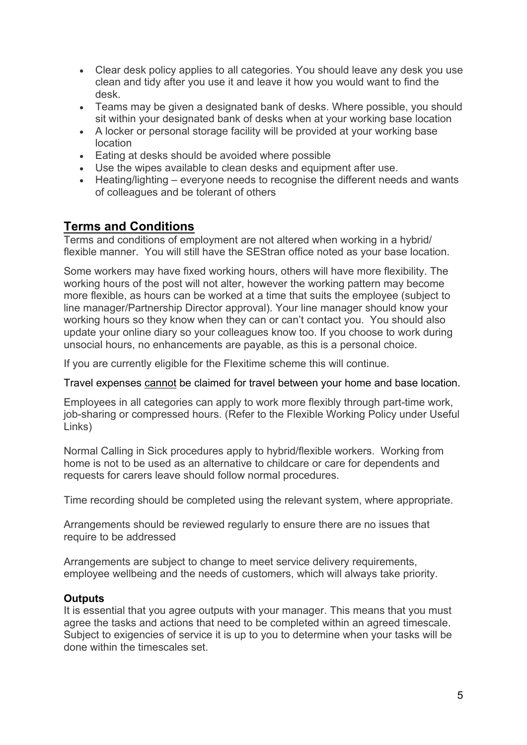- Clear desk policy applies to all categories. You should leave any desk you use clean and tidy after you use it and leave it how you would want to find the desk.
- Teams may be given a designated bank of desks. Where possible, you should sit within your designated bank of desks when at your working base location
- A locker or personal storage facility will be provided at your working base location
- Eating at desks should be avoided where possible
- Use the wipes available to clean desks and equipment after use.
- Heating/lighting everyone needs to recognise the different needs and wants of colleagues and be tolerant of others

# **Terms and Conditions**

Terms and conditions of employment are not altered when working in a hybrid/ flexible manner. You will still have the SEStran office noted as your base location.

Some workers may have fixed working hours, others will have more flexibility. The working hours of the post will not alter, however the working pattern may become more flexible, as hours can be worked at a time that suits the employee (subject to line manager/Partnership Director approval). Your line manager should know your working hours so they know when they can or can't contact you. You should also update your online diary so your colleagues know too. If you choose to work during unsocial hours, no enhancements are payable, as this is a personal choice.

If you are currently eligible for the Flexitime scheme this will continue.

Travel expenses cannot [be claimed for travel between your home and base location.](https://www.falkirk.gov.uk/employees/forms/docs/payroll-info/Guidelines%20for%20Employees%20-%20Travel%20%26%20Expenses.pdf)

Employees in all categories can apply to work more flexibly through part-time work, job-sharing or compressed hours. (Refer to the Flexible Working Policy under Useful Links)

Normal Calling in Sick procedures apply to hybrid/flexible workers. Working from home is not to be used as an alternative to childcare or care for dependents and requests for carers leave should follow normal procedures.

Time recording should be completed using the relevant system, where appropriate.

Arrangements should be reviewed regularly to ensure there are no issues that require to be addressed

Arrangements are subject to change to meet service delivery requirements, employee wellbeing and the needs of customers, which will always take priority.

### **Outputs**

It is essential that you agree outputs with your manager. This means that you must agree the tasks and actions that need to be completed within an agreed timescale. Subject to exigencies of service it is up to you to determine when your tasks will be done within the timescales set.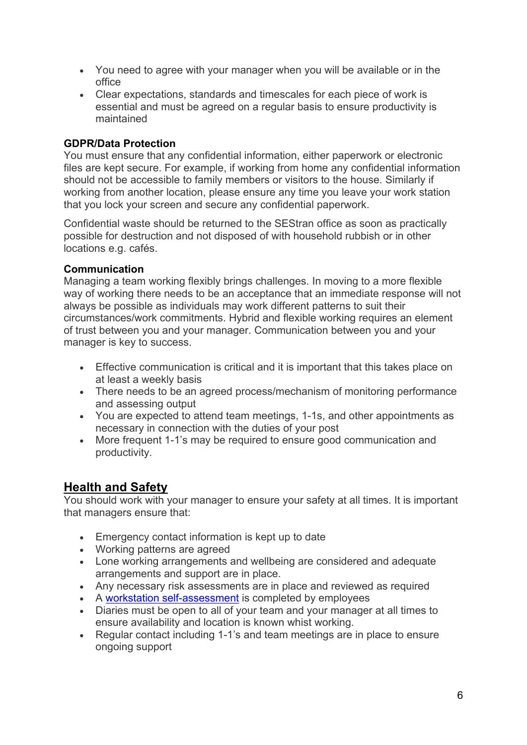- You need to agree with your manager when you will be available or in the office
- Clear expectations, standards and timescales for each piece of work is essential and must be agreed on a regular basis to ensure productivity is maintained

### **GDPR/Data Protection**

You must ensure that any confidential information, either paperwork or electronic files are kept secure. For example, if working from home any confidential information should not be accessible to family members or visitors to the house. Similarly if working from another location, please ensure any time you leave your work station that you lock your screen and secure any confidential paperwork.

Confidential waste should be returned to the SEStran office as soon as practically possible for destruction and not disposed of with household rubbish or in other locations e.g. cafés.

### **Communication**

Managing a team working flexibly brings challenges. In moving to a more flexible way of working there needs to be an acceptance that an immediate response will not always be possible as individuals may work different patterns to suit their circumstances/work commitments. Hybrid and flexible working requires an element of trust between you and your manager. Communication between you and your manager is key to success.

- Effective communication is critical and it is important that this takes place on at least a weekly basis
- There needs to be an agreed process/mechanism of monitoring performance and assessing output
- You are expected to attend team meetings, 1-1s, and other appointments as necessary in connection with the duties of your post
- More frequent 1-1's may be required to ensure good communication and productivity.

# **Health and Safety**

You should work with your manager to ensure your safety at all times. It is important that managers ensure that:

- Emergency contact information is kept up to date
- Working patterns are agreed
- Lone working arrangements and wellbeing are considered and adequate arrangements and support are in place.
- Any necessary risk assessments are in place and reviewed as required
- A [workstation self-assessment](https://www.hse.gov.uk/pubns/ck1.pdf) is completed by employees
- Diaries must be open to all of your team and your manager at all times to ensure availability and location is known whist working.
- Regular contact including 1-1's and team meetings are in place to ensure ongoing support